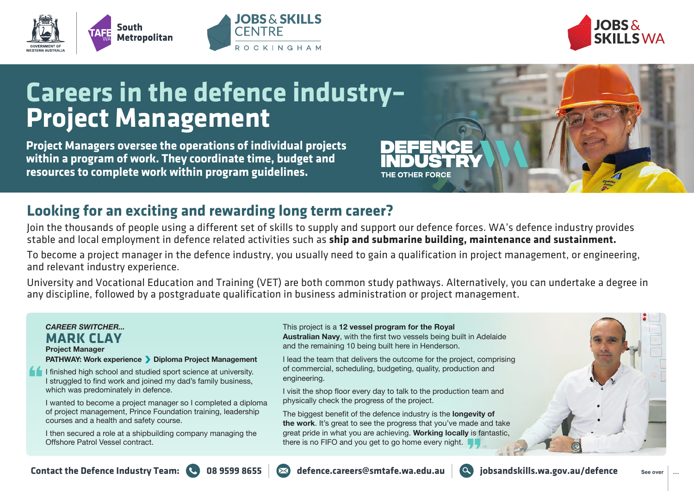





# **Careers in the defence industry– Project Management**

**Project Managers oversee the operations of individual projects within a program of work. They coordinate time, budget and resources to complete work within program guidelines.** 

## **Looking for an exciting and rewarding long term career?**

Join the thousands of people using a different set of skills to supply and support our defence forces. WA's defence industry provides stable and local employment in defence related activities such as **ship and submarine building, maintenance and sustainment.** 

To become a project manager in the defence industry, you usually need to gain a qualification in project management, or engineering, and relevant industry experience.

University and Vocational Education and Training (VET) are both common study pathways. Alternatively, you can undertake a degree in any discipline, followed by a postgraduate qualification in business administration or project management.

### *CAREER SWITCHER...* **MARK CLAY Project Manager PATHWAY: Work experience Diploma Project Management**

I finished high school and studied sport science at university. I struggled to find work and joined my dad's family business, which was predominately in defence.

I wanted to become a project manager so I completed a diploma of project management, Prince Foundation training, leadership courses and a health and safety course.

I then secured a role at a shipbuilding company managing the Offshore Patrol Vessel contract.

#### This project is a **12 vessel program for the Royal Australian Navy**, with the first two vessels being built in Adelaide and the remaining 10 being built here in Henderson.

THE OTHER FORCE

I lead the team that delivers the outcome for the project, comprising of commercial, scheduling, budgeting, quality, production and engineering.

I visit the shop floor every day to talk to the production team and physically check the progress of the project.

The biggest benefit of the defence industry is the **longevity of the work**. It's great to see the progress that you've made and take great pride in what you are achieving. **Working locally** is fantastic, there is no FIFO and you get to go home every night.